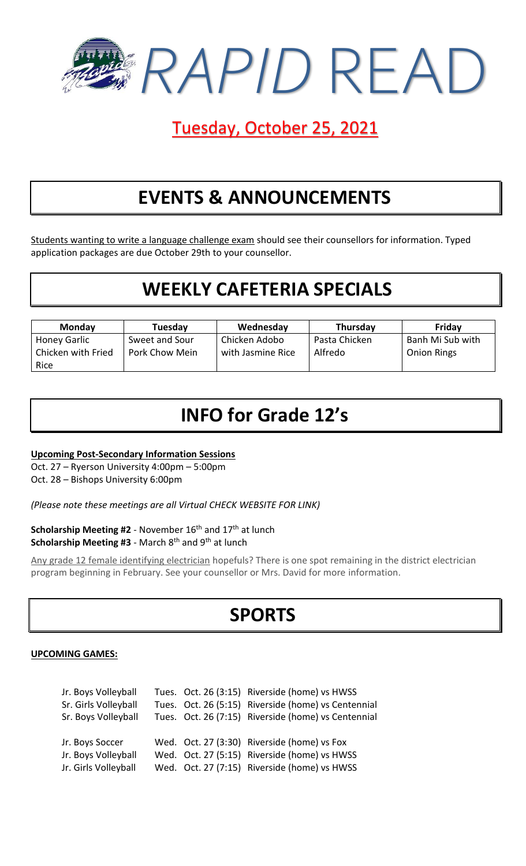

## Tuesday, October 25, 2021

# **EVENTS & ANNOUNCEMENTS**

Students wanting to write a language challenge exam should see their counsellors for information. Typed application packages are due October 29th to your counsellor.

### **WEEKLY CAFETERIA SPECIALS**

| <b>Monday</b>              | Tuesday        | Wednesday         | Thursday      | Friday             |
|----------------------------|----------------|-------------------|---------------|--------------------|
| Honey Garlic               | Sweet and Sour | Chicken Adobo     | Pasta Chicken | Banh Mi Sub with   |
| Chicken with Fried<br>Rice | Pork Chow Mein | with Jasmine Rice | Alfredo       | <b>Onion Rings</b> |

# **INFO for Grade 12's**

**Upcoming Post-Secondary Information Sessions**

Oct. 27 – Ryerson University 4:00pm – 5:00pm

Oct. 28 – Bishops University 6:00pm

*(Please note these meetings are all Virtual CHECK WEBSITE FOR LINK)*

Scholarship Meeting #2 - November 16<sup>th</sup> and 17<sup>th</sup> at lunch **Scholarship Meeting #3** - March 8<sup>th</sup> and 9<sup>th</sup> at lunch

Any grade 12 female identifying electrician hopefuls? There is one spot remaining in the district electrician program beginning in February. See your counsellor or Mrs. David for more information.

# **SPORTS**

#### **UPCOMING GAMES:**

| Jr. Boys Volleyball  |  | Tues. Oct. 26 (3:15) Riverside (home) vs HWSS       |
|----------------------|--|-----------------------------------------------------|
| Sr. Girls Volleyball |  | Tues. Oct. 26 (5:15) Riverside (home) vs Centennial |
| Sr. Boys Volleyball  |  | Tues. Oct. 26 (7:15) Riverside (home) vs Centennial |
|                      |  |                                                     |
| Jr. Boys Soccer      |  | Wed. Oct. 27 (3:30) Riverside (home) vs Fox         |
| Jr. Boys Volleyball  |  | Wed. Oct. 27 (5:15) Riverside (home) vs HWSS        |
| Jr. Girls Volleyball |  | Wed. Oct. 27 (7:15) Riverside (home) vs HWSS        |